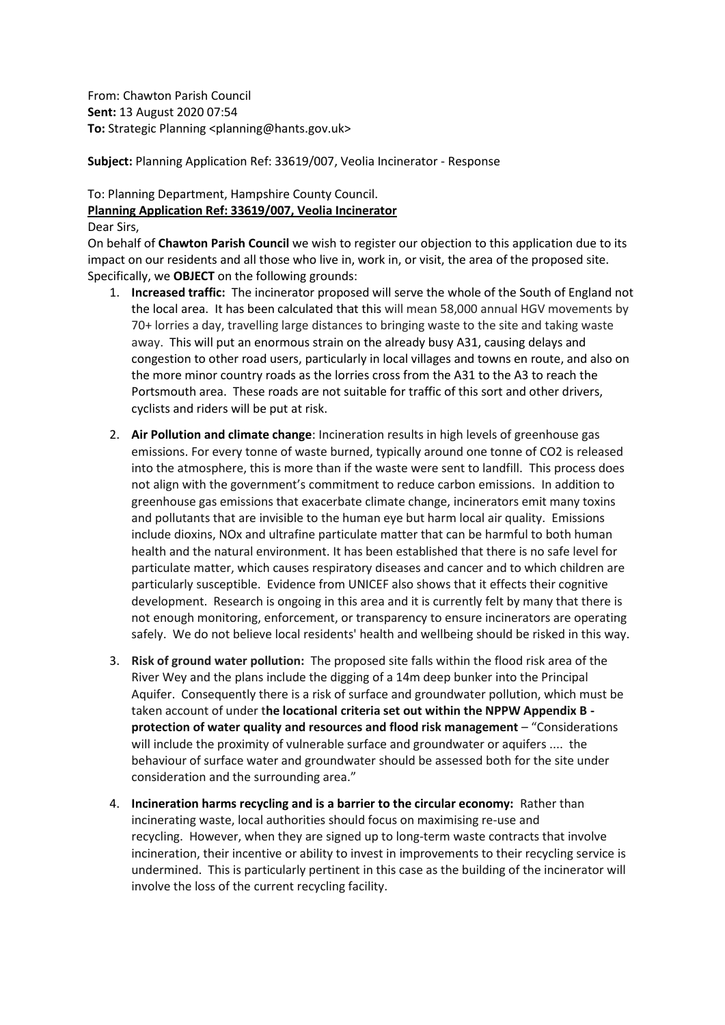From: Chawton Parish Council **Sent:** 13 August 2020 07:54 **To:** Strategic Planning <planning@hants.gov.uk>

**Subject:** Planning Application Ref: 33619/007, Veolia Incinerator - Response

## To: Planning Department, Hampshire County Council. **Planning Application Ref: 33619/007, Veolia Incinerator** Dear Sirs,

On behalf of **Chawton Parish Council** we wish to register our objection to this application due to its impact on our residents and all those who live in, work in, or visit, the area of the proposed site. Specifically, we **OBJECT** on the following grounds:

- 1. **Increased traffic:** The incinerator proposed will serve the whole of the South of England not the local area. It has been calculated that this will mean 58,000 annual HGV movements by 70+ lorries a day, travelling large distances to bringing waste to the site and taking waste away. This will put an enormous strain on the already busy A31, causing delays and congestion to other road users, particularly in local villages and towns en route, and also on the more minor country roads as the lorries cross from the A31 to the A3 to reach the Portsmouth area. These roads are not suitable for traffic of this sort and other drivers, cyclists and riders will be put at risk.
- 2. **Air Pollution and climate change**: Incineration results in high levels of greenhouse gas emissions. For every tonne of waste burned, typically around one tonne of CO2 is released into the atmosphere, this is more than if the waste were sent to landfill. This process does not align with the government's commitment to reduce carbon emissions. In addition to greenhouse gas emissions that exacerbate climate change, incinerators emit many toxins and pollutants that are invisible to the human eye but harm local air quality. Emissions include dioxins, NOx and ultrafine particulate matter that can be harmful to both human health and the natural environment. It has been established that there is no safe level for particulate matter, which causes respiratory diseases and cancer and to which children are particularly susceptible. Evidence from UNICEF also shows that it effects their cognitive development. Research is ongoing in this area and it is currently felt by many that there is not enough monitoring, enforcement, or transparency to ensure incinerators are operating safely. We do not believe local residents' health and wellbeing should be risked in this way.
- 3. **Risk of ground water pollution:** The proposed site falls within the flood risk area of the River Wey and the plans include the digging of a 14m deep bunker into the Principal Aquifer. Consequently there is a risk of surface and groundwater pollution, which must be taken account of under t**he locational criteria set out within the NPPW Appendix B protection of water quality and resources and flood risk management** – "Considerations will include the proximity of vulnerable surface and groundwater or aquifers .... the behaviour of surface water and groundwater should be assessed both for the site under consideration and the surrounding area."
- 4. **Incineration harms recycling and is a barrier to the circular economy:** Rather than incinerating waste, local authorities should focus on maximising re-use and recycling. However, when they are signed up to long-term waste contracts that involve incineration, their incentive or ability to invest in improvements to their recycling service is undermined. This is particularly pertinent in this case as the building of the incinerator will involve the loss of the current recycling facility.